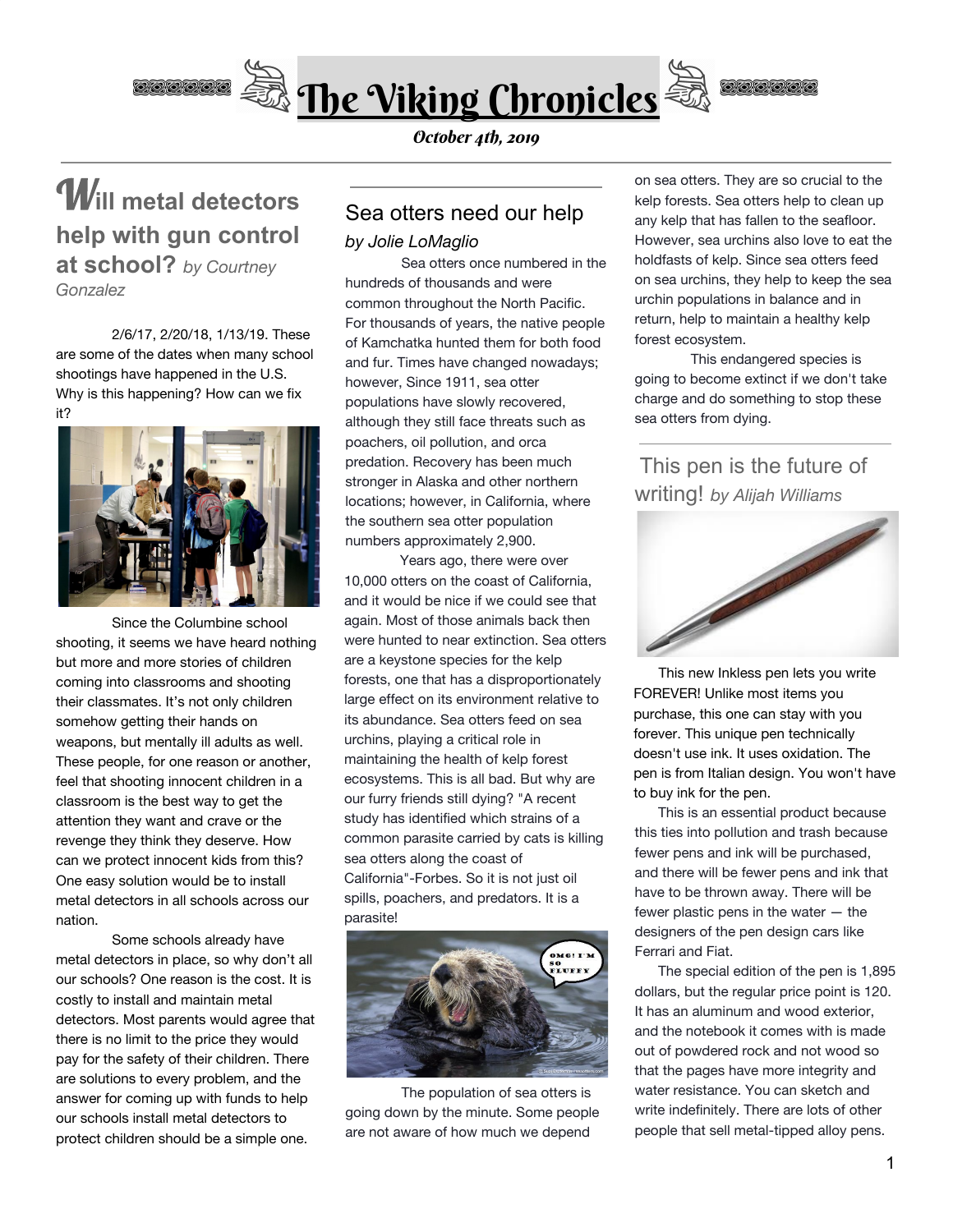

W**ill metal detectors help with gun control at school?** *by Courtney Gonzalez*

2/6/17, 2/20/18, 1/13/19. These are some of the dates when many school shootings have happened in the U.S. Why is this happening? How can we fix it?



Since the Columbine school shooting, it seems we have heard nothing but more and more stories of children coming into classrooms and shooting their classmates. It's not only children somehow getting their hands on weapons, but mentally ill adults as well. These people, for one reason or another, feel that shooting innocent children in a classroom is the best way to get the attention they want and crave or the revenge they think they deserve. How can we protect innocent kids from this? One easy solution would be to install metal detectors in all schools across our nation.

Some schools already have metal detectors in place, so why don't all our schools? One reason is the cost. It is costly to install and maintain metal detectors. Most parents would agree that there is no limit to the price they would pay for the safety of their children. There are solutions to every problem, and the answer for coming up with funds to help our schools install metal detectors to protect children should be a simple one.

### October 4th, 2019

## Sea otters need our help

### *by Jolie LoMaglio*

Sea otters once numbered in the hundreds of thousands and were common throughout the North Pacific. For thousands of years, the native people of Kamchatka hunted them for both food and fur. Times have changed nowadays; however, Since 1911, sea otter populations have slowly recovered, although they still face threats such as poachers, oil pollution, and orca predation. Recovery has been much stronger in Alaska and other northern locations; however, in California, where the southern sea otter population numbers approximately 2,900.

 Years ago, there were over 10,000 otters on the coast of California, and it would be nice if we could see that again. Most of those animals back then were hunted to near extinction. Sea otters are a keystone species for the kelp forests, one that has a disproportionately large effect on its environment relative to its abundance. Sea otters feed on sea urchins, playing a critical role in maintaining the health of kelp forest ecosystems. This is all bad. But why are our furry friends still dying? "A recent study has identified which strains of a common parasite carried by cats is killing sea otters along the coast of California"-Forbes. So it is not just oil spills, poachers, and predators. It is a parasite!



The population of sea otters is going down by the minute. Some people are not aware of how much we depend

on sea otters. They are so crucial to the kelp forests. Sea otters help to clean up any kelp that has fallen to the seafloor. However, sea urchins also love to eat the holdfasts of kelp. Since sea otters feed on sea urchins, they help to keep the sea urchin populations in balance and in return, help to maintain a healthy kelp forest ecosystem.

This endangered species is going to become extinct if we don't take charge and do something to stop these sea otters from dying.

## This pen is the future of writing! *by Alijah Williams*



This new Inkless pen lets you write FOREVER! Unlike most items you purchase, this one can stay with you forever. This unique pen technically doesn't use ink. It uses oxidation. The pen is from Italian design. You won't have to buy ink for the pen.

 This is an essential product because this ties into pollution and trash because fewer pens and ink will be purchased, and there will be fewer pens and ink that have to be thrown away. There will be fewer plastic pens in the water — the designers of the pen design cars like Ferrari and Fiat.

 The special edition of the pen is 1,895 dollars, but the regular price point is 120. It has an aluminum and wood exterior, and the notebook it comes with is made out of powdered rock and not wood so that the pages have more integrity and water resistance. You can sketch and write indefinitely. There are lots of other people that sell metal-tipped alloy pens.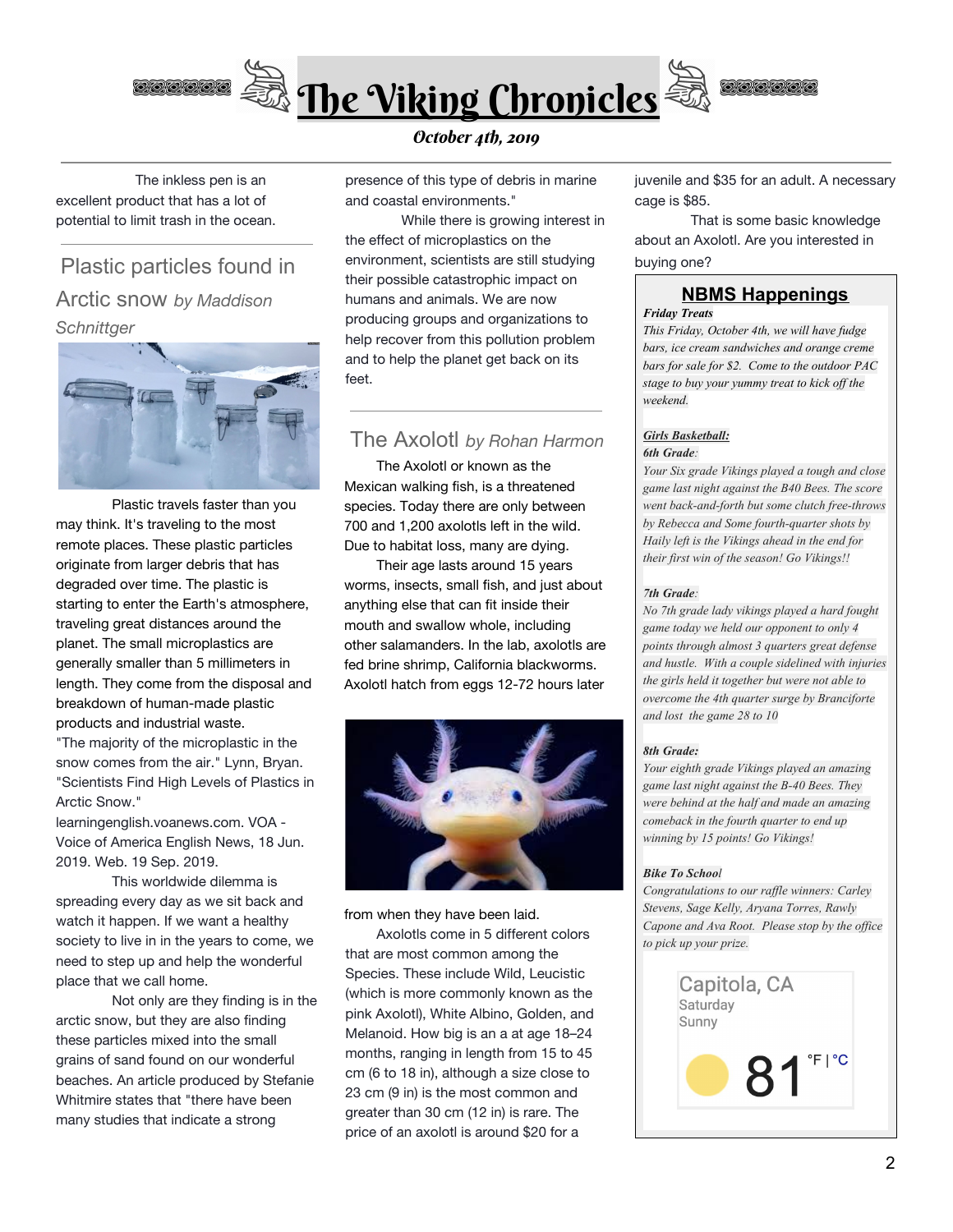

 The inkless pen is an excellent product that has a lot of potential to limit trash in the ocean.

# Plastic particles found in Arctic snow *by Maddison Schnittger*



Plastic travels faster than you may think. It's traveling to the most remote places. These plastic particles originate from larger debris that has degraded over time. The plastic is starting to enter the Earth's atmosphere, traveling great distances around the planet. The small microplastics are generally smaller than 5 millimeters in length. They come from the disposal and breakdown of human-made plastic products and industrial waste. "The majority of the microplastic in the snow comes from the air." Lynn, Bryan.

"Scientists Find High Levels of Plastics in Arctic Snow."

learningenglish.voanews.com. VOA - Voice of America English News, 18 Jun. 2019. Web. 19 Sep. 2019.

This worldwide dilemma is spreading every day as we sit back and watch it happen. If we want a healthy society to live in in the years to come, we need to step up and help the wonderful place that we call home.

Not only are they finding is in the arctic snow, but they are also finding these particles mixed into the small grains of sand found on our wonderful beaches. An article produced by Stefanie Whitmire states that "there have been many studies that indicate a strong

presence of this type of debris in marine and coastal environments."

While there is growing interest in the effect of microplastics on the environment, scientists are still studying their possible catastrophic impact on humans and animals. We are now producing groups and organizations to help recover from this pollution problem and to help the planet get back on its feet.

### The Axolotl *by Rohan Harmon*

 The Axolotl or known as the Mexican walking fish, is a threatened species. Today there are only between 700 and 1,200 axolotls left in the wild. Due to habitat loss, many are dying.

 Their age lasts around 15 years worms, insects, small fish, and just about anything else that can fit inside their mouth and swallow whole, including other salamanders. In the lab, axolotls are fed brine shrimp, California blackworms. Axolotl hatch from eggs 12-72 hours later



from when they have been laid.

 Axolotls come in 5 different colors that are most common among the Species. These include Wild, Leucistic (which is more commonly known as the pink Axolotl), White Albino, Golden, and Melanoid. How big is an a at age 18–24 months, ranging in length from 15 to 45 cm (6 to 18 in), although a size close to 23 cm (9 in) is the most common and greater than 30 cm (12 in) is rare. The price of an axolotl is around \$20 for a

juvenile and \$35 for an adult. A necessary cage is \$85.

That is some basic knowledge about an Axolotl. Are you interested in buying one?

## **NBMS Happenings**

*Friday Treats*

*This Friday, October 4th, we will have fudge bars, ice cream sandwiches and orange creme bars for sale for \$2. Come to the outdoor PAC stage to buy your yummy treat to kick of the weekend.*

### *Girls Basketball: 6th Grade:*

*Your Six grade Vikings played a tough and close game last night against the B40 Bees. The score went back-and-forth but some clutch free-throws by Rebecca and Some fourth-quarter shots by Haily left is the Vikings ahead in the end for their first win of the season! Go Vikings!!*

#### *7th Grade:*

*No 7th grade lady vikings played a hard fought game today we held our opponent to only 4 points through almost 3 quarters great defense and hustle. With a couple sidelined with injuries the girls held it together but were not able to overcome the 4th quarter surge by Branciforte and lost the game 28 to 10*

#### *8th Grade:*

*Your eighth grade Vikings played an amazing game last night against the B-40 Bees. They were behind at the half and made an amazing comeback in the fourth quarter to end up winning by 15 points! Go Vikings!*

#### *Bike To School*

*Congratulations to our raf le winners: Carley Stevens, Sage Kelly, Aryana Torres, Rawly Capone and Ava Root. Please stop by the of ice to pick up your prize.*